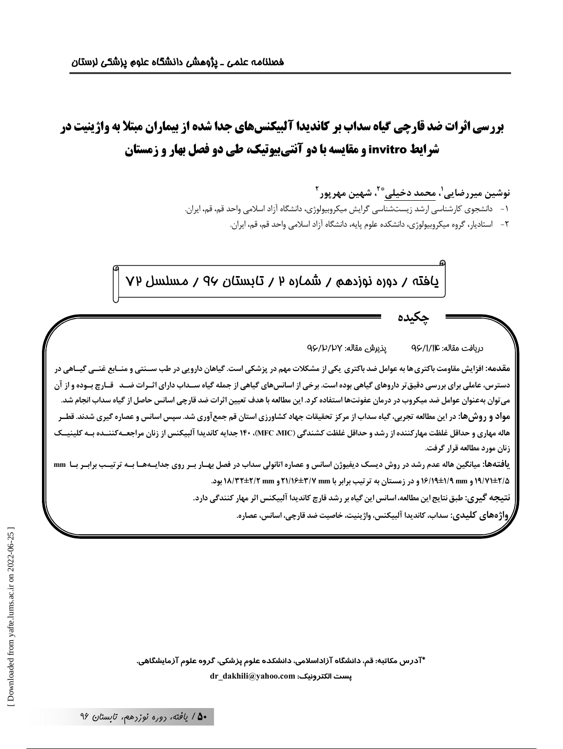# **بررسی اثرات ضد قارچی گیاه سداب بر کاندیدا آلبیکنسهای جدا شده از بیماران مبتلا به واژینیت در** شرایط invitro و مقایسه با دو آنتی بیوتیک، طی دو فصل بهار و زمستان

نوشین میررضایی'، <u>محمد دخیلی</u> ٌ ّ<sup>۲</sup>، شهین مهرپور <sup>۲</sup>

١- دانشجوی کارشناسی ارشد زیستشناسی گرایش میکروبیولوژی، دانشگاه آزاد اسلامی واحد قم، قم، ایران.

٢- استاديار، گروه ميكروبيولوژي، دانشكده علوم پايه، دانشگاه آزاد اسلامي واحد قم، قم، ايران.

يافته / دوره نوزدهم / شماره ٢ / تايستان ٩٧ / مسلسل ٧٧

يذيرش مقاله: ٩۶/١/١/١٩ دريافت مقاله: Q۶/۱/۱۴

مقدمه: افزایش مقاومت باکتری ها به عوامل ضد باکتری یکی از مشکلات مهم در پزشکی است. گیاهان دارویی در طب ســنتی و منــابع غنــی گیــاهی در دسترس، عاملی برای بررسی دقیق تر داروهای گیاهی بوده است. برخی از اسانس های گیاهی از جمله گیاه ســداب دارای اثــرات ضــد قــارچ بــوده و از آن می توان بهعنوان عوامل ضد میکروب در درمان عفونتها استفاده کرد. این مطالعه با هدف تعیین اثرات ضد قارچی اسانس حاصل از گیاه سداب انجام شد. مواد و روش ها: در این مطالعه تجربی، گیاه سداب از مرکز تحقیقات جهاد کشاورزی استان قم جمع آوری شد. سپس اسانس و عصاره گیری شدند. قطـر هاله مهاری و حداقل غلظت مهارکننده از رشد و حداقل غلظت کشندگی (MFC MIC)، ۱۴۰ جدایه کاندیدا آلبیکنس از زنان مراجعـهکننــده بـه کلینیــک زنان مورد مطالعه قرار گرفت.

یافتهها: میانگین هاله عدم رشد در روش دیسک دیفیوژن اسانس و عصاره اتانولی سداب در فصل بهـار بــر روی جدایــههـا بــه ترتیــب برابــر بــا mm ۹/۷۱±۲/۵ و ۱۶/۱۹±۱/۹ و در زمستان به ترتیب برابر با ۳/۷mm ۲۱/۱۶±۲/۲ و ۱۸/۳۲±۲/۲ بود.

نتیجه گیری: طبق نتایج این مطالعه، اسانس این گیاه بر رشد قارچ کاندیدا آلبیکنس اثر مهار کنندگی دارد.

واژ ەھاي كليدي: سداب، كانديدا آلبيكنس، واژينيت، خاصيت ضد قارچى، اسانس، عصاره.

\*آدرس مکاتبه: قم، دانشگاه آزاداسلامی، دانشکده علوم پزشکی، گروه علوم آزمایشگاهی. dr\_dakhili@yahoo.com :يست الكترونيك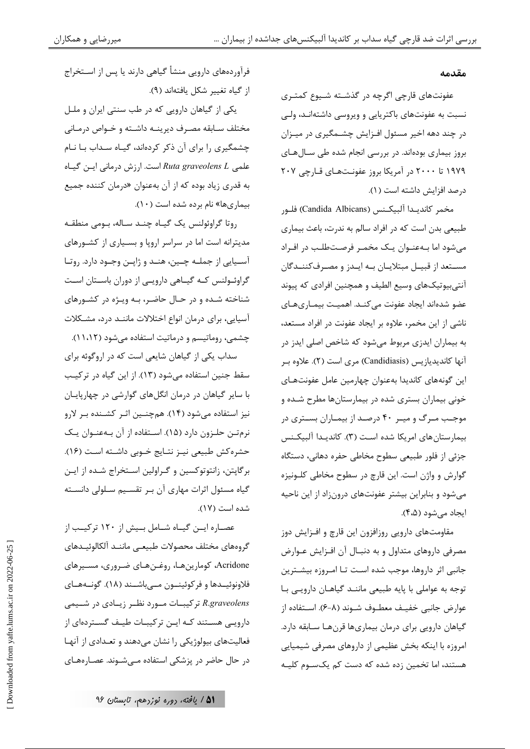#### مقدمه

عفونتهای قارچی اگرچه در گذشته شـیوع کمتـری نسبت به عفونتهای باکتریایی و ویروسی داشتهانـد، ولـی در چند دهه اخیر مسئول افـزایش چشــمگیری در میـزان بروز بیماری بودهاند. در بررسی انجام شده طی سـالهـای ۱۹۷۹ تا ۲۰۰۰ در آمریکا بروز عفونتهای قـارچی ۲۰۷ در صد افزایش داشته است ( ۱).

مخمر كانديـدا آلبيكـنس (Candida Albicans) فلـو, طبیعی بدن است که در افراد سالم به ندرت، باعث بیماری میشود اما بـهعنـوان یـک مخمـر فرصـتطلـب در افـراد مسـتعد از قبيــل مبتلايــان بــه ايــدز و مصـرفكننــدگان آنتی بیوتیکهای وسیع الطیف و همچنین افرادی که پیوند عضو شدهاند ایجاد عفونت می کنـد. اهمیـت بیمـاریهـای ناشی از این مخمر، علاوه بر ایجاد عفونت در افراد مستعد، به بیماران ایدزی مربوط میشود که شاخص اصلی ایدز در آنها کاندیدیازیس (Candidiasis) مری است (۲). علاوه بر این گونههای کاندیدا بهعنوان چهارمین عامل عفونتهـای خونی بیماران بستری شده در بیمارستانها مطرح شـده و موجب مـرگ و میـر ۴۰ درصـد از بیمـاران بسـتری در بیمارستان های امریکا شده است (۳). کاندیـدا آلبیکـنس جزئی از فلور طبیعی سطوح مخاطی حفره دهانی، دستگاه گوارش و واژن است. این قارچ در سطوح مخاطی کلـونیزه میشود و بنابراین بیشتر عفونتهای درونزاد از این ناحیه ايجاد مي شود (۴،۵).

مقاومتهای دارویی روزافزون این قارچ و افــزایش دوز مصرفی داروهای متداول و به دنبـال آن افـزایش عـوارض جانبي اثر داروها، موجب شده است تـا امـروزه بيشـترين توجه به عواملي با پايه طبيعي ماننـد گياهـان دارويـي بـا عوارض جانبي خفيـف معطــوف شــوند (٨-۶). اســتفاده از گیاهان دارویی برای درمان بیماریها قرنهـا سـابقه دارد. امروزه با اینکه بخش عظیمی از داروهای مصرفی شیمیایی هستند، اما تخمین زده شده که دست کم یکســوم کلیــه

فرآوردههای دارویی منشأ گیاهی دارند یا پس از اسـتخراج از گیاه تغییر شکل یافتهاند (۹). یکی از گیاهان دارویی که در طب سنتی ایران و ملـل مختلف سـابقه مصـرف ديرينــه داشـته و خــواص درمـاني چشمگیری را برای آن ذکر کردهاند، گیاه سـداب بـا نـام علمی Ruta graveolens L است. ارزش درمانی ایـن گیـاه به قدري زياد بوده كه از آن بهعنوان «درمان كننده جميع بیماریها» نام برده شده است (١٠).

روتا گراوئولنس یک گیاه چند ساله، بومی منطقه مدیترانه است اما در سراسر اروپا و بسـیاری از کشـورهای آسـيايي از جملـه چـين، هنـد و ژاپـن وجـود دارد. روتـا گراوئــولنس كــه گيــاهي دارويــي از دوران باســتان اســت شناخته شده و در حـال حاضـر، بـه ويـژه در كشـورهاى آسیایی، برای درمان انواع اختلالات ماننـد درد، مشـكلات چشمی، روماتیسم و درماتیت استفاده می شود (۱۱،۱۲).

سداب یکی از گیاهان شایعی است که در اروگوئه برای سقط جنین استفاده می شود (١٣). از این گیاه در ترکیب با سایر گیاهان در درمان انگلهای گوارشی در چهارپایان نیز استفاده میشود (۱۴). همچنـین اثـر کشـنده بـر لارو نرمتن حلزون دارد (۱۵). استفاده از آن بهعنوان یک حشره كش طبيعي نيـز نتـايج خـوبي داشـته اسـت (١۶). برگاپتن، زانتوتوکسین و گـراولین اسـتخراج شـده از ایـن گیاه مسئول اثرات مهاری آن بر تقسیم سلولی دانسته شده است (١٧).

عصـاره ايـن گيـاه شـامل بـيش از ١٢٠ تركيـب از گروههای مختلف محصولات طبیعے مانند آلکالوئیـدهای Acridone، کومارینهـا، روغـنهـای ضـروری، مسـیرهای فلاونوئيــدها و فركوئينــون مــىباشــند (١٨). گونــههــاي R.graveolens تركيبــات مــورد نظــر زيــادى در شــيمى دارویی هستند کـه ایـن ترکیبـات طیـف گسـتردهای از فعالیتهای بیولوژیکی را نشان میدهند و تعـدادی از آنهـا در حال حاضر در پزشکی استفاده مےشوند. عصارههای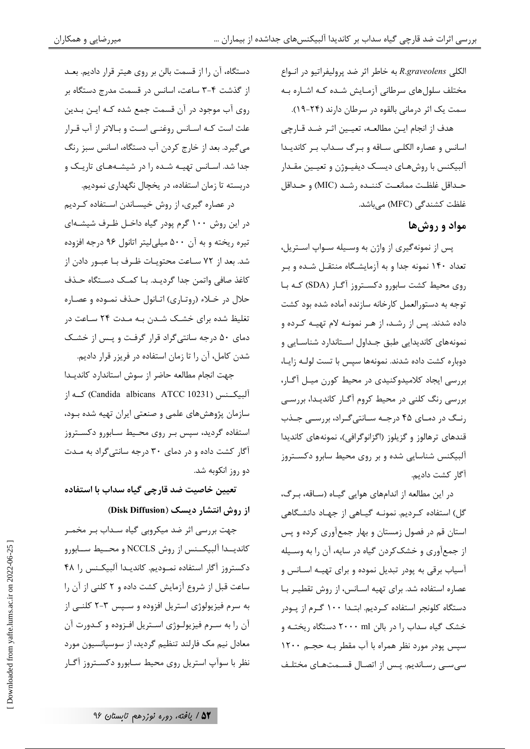الكلي R.graveolens به خاطر اثر ضد پروليفراتيو در انواع مختلف سلولهای سرطانی آزمـایش شـده کـه اشـاره بـه سمت یک اثر درمانی بالقوه در سرطان دارند (۲۴-۱۹). هدف از انجام ايـن مطالعــه، تعيــين اثــر ضـد قــارچى اسانس و عصاره الكلبى ساقه و برگ سـداب بـر كانديـدا آلبيكنس با روشهـاي ديسـك ديفيـوژن و تعيـين مقـدار حـداقل غلظـت ممانعـت كننـده رشـد (MIC) و حـداقل غلظت کشندگی (MFC) میباشد.

## مواد و روشها

پس از نمونهگیری از واژن به وسـیله سـواپ اسـتریل، تعداد ۱۴۰ نمونه جدا و به آزمایشگاه منتقـل شـده و بـر روی محیط کشت سابورو دکستروز آگـار (SDA) کـه بـا توجه به دستورالعمل كارخانه سازنده آماده شده بود كشت داده شدند. پس از رشـد، از هـر نمونـه لام تهيـه كـرده و نمونههای کاندیدایی طبق جـداول اسـتاندارد شناسـایی و دوباره كشت داده شدند. نمونهها سپس با تست لولـه زايـا، بررسی ایجاد کلامیدوکنیدی در محیط کورن میل آگار، بررسی رنگ کلنی در محیط کروم آگـار کاندیـدا، بررسـی رنگ در دمای ۴۵ درجـه سـانتی گـراد، بررسـی جـذب قندهای ترهالوز و گزیلوز (اگزانوگرافی)، نمونههای کاندیدا آلبیکنس شناسایی شده و بر روی محیط سابرو دکسـتروز آگا, كشت داديم.

در این مطالعه از اندامهای هوایی گیـاه (سـاقه، بـرگ، گل) استفاده کـردیم. نمونـه گیـاهی از جهـاد دانشـگاهی استان قم در فصول زمستان و بهار جمعآوری کرده و پس از جمعآوری و خشککردن گیاه در سایه، آن را به وسـیله آسیاب برقی به پودر تبدیل نموده و برای تهیـه اسـانس و عصاره استفاده شد. برای تهیه اسـانس، از روش تقطیـر بـا دستگاه کلونجر استفاده کـردیم. ابتـدا ۱۰۰ گـرم از پـودر خشک گیاه سداب <sub>ر</sub>ا در بالن ۲۰۰۰ ml دستگاه ریختـه و سپس پودر مورد نظر همراه با آب مقطر بـه حجـم ۱۲۰۰ سی سے رساندیم. پس از اتصال قسمتهای مختلف

دستگاه، آن را از قسمت بالن بر روی هیتر قرار دادیم. بعـد از گذشت ۴-۳ ساعت، اسانس در قسمت مدرج دستگاه بر روی آب موجود در آن قسمت جمع شده کـه ایـن بـدین علت است كـه اسـانس روغنـى اسـت و بـالاتر از آب قـرار می گیرد. بعد از خارج کردن آب دستگاه، اسانس سبز رنگ جدا شد. اسـانس تهيـه شـده را در شيشـههـاى تاريـك و دربسته تا زمان استفاده، در يخچال نگهدارى نموديم.

در عصاره گیری، از روش خیسـاندن اسـتفاده کـردیم در این روش ۱۰۰ گرم پودر گیاه داخـل ظـرف شیشـهای تیره ریخته و به آن ۵۰۰ میلی لیتر اتانول ۹۶ درجه افزوده شد. بعد از ۷۲ سـاعت محتويـات ظـرف بـا عبـور دادن از كاغذ صافي واتمن جدا گرديـد. بـا كمـك دسـتگاه حـذف حلال در خـلاء (روتـاري) اتـانول حـذف نمـوده و عصـاره تغلیظ شده برای خشـک شـدن بـه مـدت ۲۴ سـاعت در دمای ۵۰ درجه سانتیگراد قرار گرفت و پس از خشک شدن كامل، آن را تا زمان استفاده در فريزر قرار داديم.

جهت انجام مطالعه حاضر از سوش استاندارد كانديـدا آلبیکــنس (Candida albicans ATCC 10231) کــه از سازمان پژوهشهای علمی و صنعتی ایران تهیه شده بود، استفاده گردید، سپس بـر روی محـیط سـابورو دکسـتروز آگار کشت داده و در دمای ۳۰ درجه سانتیگراد به مدت دو روز انکوبه شد.

تعیین خاصیت ضد قارچی گیاه سداب با استفاده از روش انتشار دیسک (Disk Diffusion)

جهت بررسی اثر ضد میکروبی گیاه سـداب بـر مخمـر كانديــدا آلبيكــنس از روش NCCLS و محــيط ســابورو دكستروز آگار استفاده نمـوديم. كانديـدا آلبيكـنس را ۴۸ ساعت قبل از شروع آزمایش کشت داده و ۲ کلنی از آن را به سرم فیزیولوژی استریل افزوده و سـپس ۳-۲ کلنـی از آن را به سرم فیزیولوژی استریل افزوده و کدورت آن معادل نیم مک فارلند تنظیم گردید، از سوسپانسیون مورد نظر با سوآپ استریل روی محیط سـابورو دکسـتروز آگـار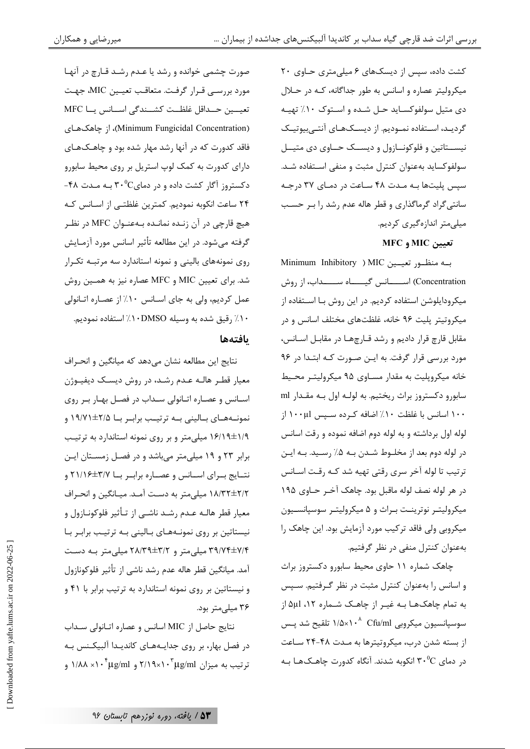کشت داده، سپس از دیسکهای ۶ میلی متری حـاوی ۲۰ میکرولیتر عصاره و اسانس به طور جداگانه، کـه در حـلال دی متيل سولفوكسـايد حـل شـده و اسـتوک ١٠٪ تهيـه گردیـد، اسـتفاده نمـودیم. از دیسـکهـای آنتـیبیوتیـک نیستاتین و فلوکونـازول و دیســک حــاوی دی متیــل سولفوكسايد بهعنوان كنترل مثبت و منفى استفاده شـد. سپس پلیتها به مدت ۴۸ ساعت در دمای ۳۷ درجه سانتیگراد گرماگذاری و قطر هاله عدم رشد را بـر حسب میلی متر اندازهگیری کردیم.

تعيين MIC و MFC

به منظور تعییین MIC ( Minimum Inhibitory Concentration) اســــــانس گیــــــاه ســــــداب، از روش میکرودایلوشن استفاده کردیم. در این روش بـا اسـتفاده از میکروتیتر پلیت ۹۶ خانه، غلظتهای مختلف اسانس و در مقابل قارچ قرار دادیم و رشد قـارچهـا در مقابـل اسـانس، مورد بررسی قرار گرفت. به ایـن صـورت کـه ابتـدا در ۹۶ خانه میکروپلیت به مقدار مساوی ۹۵ میکرولیتر محیط سابورو دکستروز براث ریختیم. به لولـه اول بـه مقـدار ml ۱۰۰ اسانس با غلظت ۱۰٪ اضافه کرده سـيس ۱۰۰μl از لوله اول برداشته و به لوله دوم اضافه نموده و رقت اسانس در لوله دوم بعد از مخلـوط شـدن بـه ۵٪ رسـيد. بـه ايـن ترتیب تا لوله آخر سری رقتی تهیه شد کـه رقـت اسـانس در هر لوله نصف لوله ماقبل بود. چاهک آخـر حــاوی ۱۹۵ میکرولیتـر نوترینـت بـراث و ۵ میکرولیتـر سوسپانسـیون میکروبی ولی فاقد ترکیب مورد آزمایش بود. این چاهک را بهعنوان كنترل منفى در نظر گرفتيم.

چاهک شماره ۱۱ حاوی محیط سابورو دکستروز براث و اسانس را بهعنوان كنترل مثبت در نظر گرفتيم. سـپس به تمام چاهکهـا بـه غيـر از چاهـک شـماره ١٢، Δμl از سوسپانسیون میکروبی ۲۰<sup>۸ ^ ۲</sup>۱٬۵×۱۰<sup>۸</sup> تلقیح شد پـس از بسته شدن درب، میکروتیترها به مـدت ۴۸-۲۴ سـاعت در دمای ۳۰ $^0\mathrm{C}$  انکوبه شدند. آنگاه کدورت چاهـک۱هـا بـه

صورت چشمی خوانده و رشد یا عـدم رشـد قـا,چ د, آنهـا مورد بررسي قـرار گرفـت. متعاقـب تعيـين MIC، جهـت تعيسين حسداقل غلظــت كشــندگي اســانس يــا MFC (Minimum Fungicidal Concentration)، از چاهکهای فاقد کدورت که در آنها رشد مهار شده بود و چاهـکهـای دارای کدورت به کمک لوپ استریل بر روی محیط سابورو دکستروز آگار کشت داده و در دمای $\mathsf{C}^\bullet$  به مـدت ۴۸-٢۴ ساعت انكوبه نموديم. كمترين غلظتـى از اسـانس كـه هیچ قارچی در آن زنـده نمانـده بـهعنـوان MFC در نظـر گرفته میشود. در این مطالعه تأثیر اسانس مورد آزمـایش روی نمونههای بالینی و نمونه استاندارد سه مرتبـه تکـرار شد. برای تعیین MIC و MFC عصاره نیز به همـین روش عمل کردیم، ولی به جای اسـانس ۱۰٪ از عصـاره اتـانولی ۰/ / , قيق شده به وسيله DMSO · ۱/ استفاده نموديم.

### بافتهها

نتايج اين مطالعه نشان مىدهد كه ميانگين و انحراف معیار قطر هالـه عـدم رشـد، در روش دیسـک دیفیـوژن اسـانس و عصـاره اتـانولى سـداب در فصـل بهـار بـر روى نمونــههــای بــالینی بــه ترتیــب برابــر بــا ۲/۵±۱۹/۷۱ و ۱۶/۱۹±۱/۹ میلی متر و بر روی نمونه استاندارد به ترتیب برابر ٢٣ و ١٩ ميلي متر مي باشد و در فصل زمستان اين نتــايج بــراى اســانس و عصــاره برابــر بــا ٢١/١۶ /٢٦ ١٨/٣٢±٢/٢ ميلي متر به دست آمـد. ميـانگين و انحـراف معیار قطر هالـه عـدم رشـد ناشـی از تـأثیر فلوکونـازول و نیستاتین بر روی نمونـههـای بـالینی بـه ترتیـب برابـر بـا ۳۹/۷۴±۷/۴ میلی متر و ۲۸/۳۹±۲۸/۳۹ میلی متر بـه دسـت آمد. میانگین قطر هاله عدم ٫شد ناشی از تأثیر فلوکونازول و نیستاتین بر روی نمونه استاندارد به ترتیب برابر با ۴۱ و ۳۶ میلے متر بود.

نتايج حاصل از MIC اسانس و عصاره اتـانولى سـداب در فصل بهار، بر روی جدایـههـای کاندیـدا آلبیکـنس بـه تر تیب به میزان ۲/۱۹×۲/۱۹ و ۱/۸۸× ۰<sup>۰۴</sup> به ۱/۸۸ و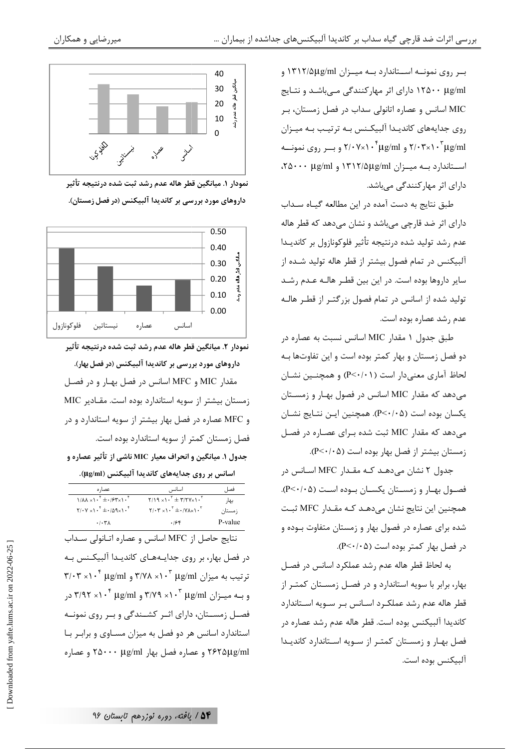بهر روی نمونسه استاندارد بسه میسزان ۱۳۱۲/۵μg/ml و ۱۲۵۰۰ μg/ml دارای اثر مهارکنندگی مےباشد و نتـايج MIC اسانس و عصاره اتانولی سداب در فصل زمستان، بـر روی جدایههای کاندیدا آلبیکنس به ترتیب به میزان و بسر روی نمونسه ۲/۰۷×۲۰۰ و ۲/۰۷×۲۰۰ و بسر روی نمونسه  $\gamma\cdot\tau$ ۲۰۲۰ و اســتاندارد بــه میــزان ۱۳۱۲/۵μg/ml و ۲۵۰۰۰ μg/ml، دارای اثر مهارکنندگی میباشد.

طبق نتایج به دست آمده در این مطالعه گیاه سـداب دارای اثر ضد قارچی میباشد و نشان میدهد که قطر هاله عدم رشد تولید شده درنتیجه تأثیر فلوکونازول بر کاندیـدا آلبیکنس در تمام فصول بیشتر از قطر هاله تولید شـده از سایر داروها بوده است. در این بین قطـر هالـه عـدم رشـد تولید شده از اسانس در تمام فصول بزرگتـر از قطـر هالـه عدم , شد عصاره بوده است.

طبق جدول ۱ مقدار MIC اسانس نسبت به عصاره در دو فصل زمستان و بهار کمتر بوده است و این تفاوتها بـه لحاظ آماری معنیدار است (P<۰/۰۱) و همچنـین نشـان می دهد که مقدار MIC اسانس در فصول بهار و زمستان يكسان بوده است (P<٠/٠۵). همچنين ايـن نتـايج نشـان می دهد که مقدار MIC ثبت شده برای عصاره در فصل زمستان بیشتر از فصل بهار بوده است (P<٠/٠۵).

جدول ۲ نشان میدهـد کـه مقـدار MFC اسـانس در فصـول بهـار و زمسـتان يكسـان بـوده اسـت (P<٠/٠۵). همچنین این نتایج نشان میدهـد کـه مقـدار MFC ثبـت شده برای عصاره در فصول بهار و زمستان متفاوت بـوده و در فصل بهار كمتر بوده است (P<٠/٠۵).

به لحاظ قطر هاله عدم رشد عملكرد اسانس در فصل بهار، برابر با سویه استاندارد و در فصل زمستان کمتـر از قطر هاله عدم رشد عملكـرد اسـانس بـر سـويه اسـتاندارد كانديدا آلبيكنس بوده است. قطر هاله عدم رشد عصاره در فصل بهار و زمستان کمتر از سویه استاندارد کاندیدا آلبيكنس بوده است.



نمودار ١. ميانگين قطر هاله عدم رشد ثبت شده درنتيجه تأثير داروهای مورد بررسی بر کاندیدا آلبیکنس (در فصل زمستان).



نمودار ٢. ميانگين قطر هاله عدم رشد ثبت شده درنتيجه تأثير داروهای مورد بررسی بر کاندیدا آلبیکنس (در فصل بهار). مقدار MIC و MFC اسانس در فصل بهـار و در فصـل زمستان بیشتر از سویه استاندارد بوده است. مقـادیر MIC و MFC عصاره در فصل بهار بیشتر از سویه استاندارد و در فصل زمستان کمتر از سویه استاندارد بوده است. جدول ۱. میانگین و انحراف معیار MIC ناشی از تأثیر عصاره و

اسانس بر روی جدایههای کاندیدا آلبیکنس (µg/ml).

| عصا, ہ                                                                            | اسانس                                                          | فصل     |
|-----------------------------------------------------------------------------------|----------------------------------------------------------------|---------|
| $1/\lambda\lambda \times 1$ <sup>+</sup> $\pm$ · $5\gamma$ / $\cdot$ <sup>+</sup> | $Y/19 \times 1.5$ $+ 7/7Y \times 1.5$                          | بهار    |
| $Y/(Y \times Y^{\dagger} \pm i/\Delta \mathcal{A}^{\dagger})$ .                   | $Y/\cdot Y \times Y \cdot Y + \cdot/Y\Lambda \times Y \cdot Y$ | ز مستان |
| .7.7A                                                                             | .199                                                           | P-value |

نتايج حاصل از MFC اسانس و عصاره اتـانولى سـداب در فصل بهار، بر روی جدایـههـای کاندیـدا آلبیکـنس بـه  $\mathsf{Y}/\cdot\mathsf{Y} \times \mathsf{Y} \cdot \mathsf{Y}$  تر تیب به میزان ۳/۷۸× ۱۰ $\mathsf{H}\mathsf{g}/\mathsf{m}$  و ۳/۰۳× ۲/۰۴ و بـه میـزان ۳/۹۲ ۰۲× ۳/۷۹ و ۳/۹۲× ۱۰<sup>۴</sup> به ۳/۹۲ فصـل زمسـتان، دارای اثـر کشـندگی و بـر روی نمونـه استاندارد اسانس هر دو فصل به میزان مسـاوی و برابـر بـا ۲۶۲۵μg/ml و عصاره فصل بهار ۲۵۰۰۰ µg/ml و عصاره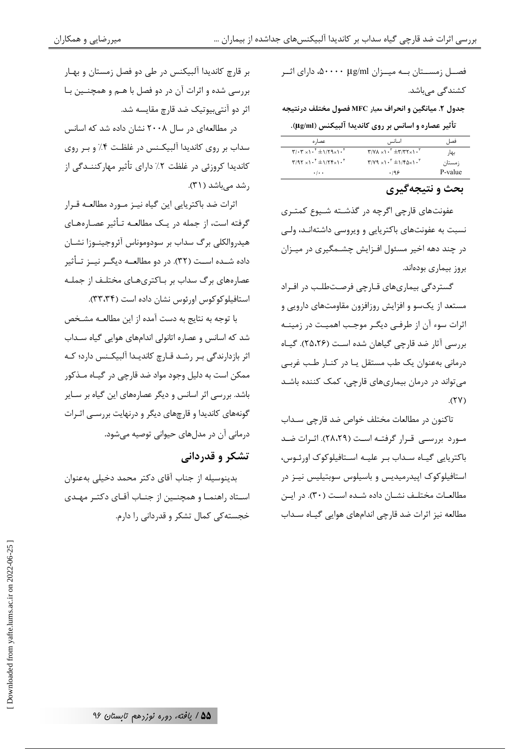فصــل زمســتان بــه میــزان Δ۰۰۰۰ μg/ml، دارای اثــر کشندگی می<sub>،</sub>باشد.

جدول ٢. ميانگين و انحراف معيار MFC فصول مختلف درنتيجه تأثير عصاره و اسانس بر روي كانديدا آلبيكنس (µg/ml).

| عصاره                                                                                                                                   | اسانس                                             | فصل     |
|-----------------------------------------------------------------------------------------------------------------------------------------|---------------------------------------------------|---------|
| $\mathbf{Y}/\cdot\mathbf{Y} \times \mathbf{I} \cdot \mathbf{I} \pm \mathbf{I}/\mathbf{I} \mathbf{I} \times \mathbf{I} \cdot \mathbf{I}$ | $T/Y\Lambda_{x}\Lambda^{T}$ + $T'$ $T'$ $T'$ $T'$ | بهار    |
| $T/95 \times 1.5$ $\pm 1/5$ $\pm 1.7$                                                                                                   | $T/Y9 \times 1.5 + 1/50 \times 1.5$               | ; مستان |
| $\cdot$ / $\cdot$ $\cdot$                                                                                                               | .199                                              | P-value |

بحث و نتيجهگيري

عفونتهای قارچی اگرچه در گذشته شـیوع کمتـری نسبت به عفونتهای باکتریایی و ویروسی داشتهانـد، ولـی در چند دهه اخیر مسئول افـزایش چشــمگیری در میـزان بروز بیماری بودهاند.

گستردگی بیماریهای قـارچی فرصـتطلـب در افـراد مستعد از یکسو و افزایش روزافزون مقاومتهای دارویی و اثرات سوء آن از طرفـي ديگـر موجـب اهميـت در زمينـه بررسی آثار ضد قارچی گیاهان شده است (۲۵،۲۶). گیاه درمانی بهعنوان یک طب مستقل یا در کنـار طـب غربـی می تواند در درمان بیماریهای قارچی، کمک کننده باشد  $(YY)$ 

تاکنون در مطالعات مختلف خواص ضد قارچی سـداب مورد بررسی قرار گرفتـه اسـت (۲۸،۲۹). اثـرات ضـد باکتریایی گیـاه سـداب بـر علیـه اسـتافیلوکوک اورئـوس، استافیلوکوک اپیدرمیدیس و باسیلوس سوبتیلیس نیـز در مطالعـات مختلـف نشـان داده شـده اسـت (٣٠). در ايـن مطالعه نیز اثرات ضد قارچی اندامهای هوایی گیـاه سـداب

بر قارچ کاندیدا آلبیکنس در طی دو فصل زمستان و بهـار بررسی شده و اثرات آن در دو فصل با هـم و همچنـین بـا اثر دو آنتی,بیوتیک ضد قارچ مقایسه شد.

در مطالعهای در سال ۲۰۰۸ نشان داده شد که اسانس سداب بر روی کاندیدا آلبیکنس در غلظت ۴٪ و بر روی کاندیدا کروزئی در غلظت ۲٪ دارای تأثیر مهارکننــدگی از رشد می باشد (۳۱).

اثرات ضد باكتريايي اين گياه نيـز مـورد مطالعـه قـرار گرفته است، از جمله در یـک مطالعـه تـأثیر عصـارههـای هیدروالکلی برگ سداب بر سودوموناس آئروجینـوزا نشـان داده شــده اســت (۳۲). در دو مطالعــه دیگــر نیــز تــأثیر عصارههای برگ سداب بر بـاکتریهـای مختلـف از جملـه استافیلوکوکوس اورئوس نشان داده است (۳۳،۳۴).

با توجه به نتایج به دست آمده از این مطالعـه مشـخص شد که اسانس و عصاره اتانولی اندامهای هوایی گیاه سـداب اثر بازدارندگی بـر رشـد قـارچ كانديـدا آلبيكـنس دارد؛ كـه ممکن است به دلیل وجود مواد ضد قارچی در گیـاه مـذکور باشد. بررسی اثر اسانس و دیگر عصارههای این گیاه بر سـایر گونههای کاندیدا و قارچهای دیگر و درنهایت بررسـی اثـرات درمانی آن در مدلهای حیوانی توصیه میشود.

# تشکر و قدردانی

بدینوسیله از جناب آقای دکتر محمد دخیلی بهعنوان اسـتاد راهنمـا و همچنـین از جنـاب آقـای دکتـر مهـدی خجسته کی کمال تشکر و قدردانی را دارم.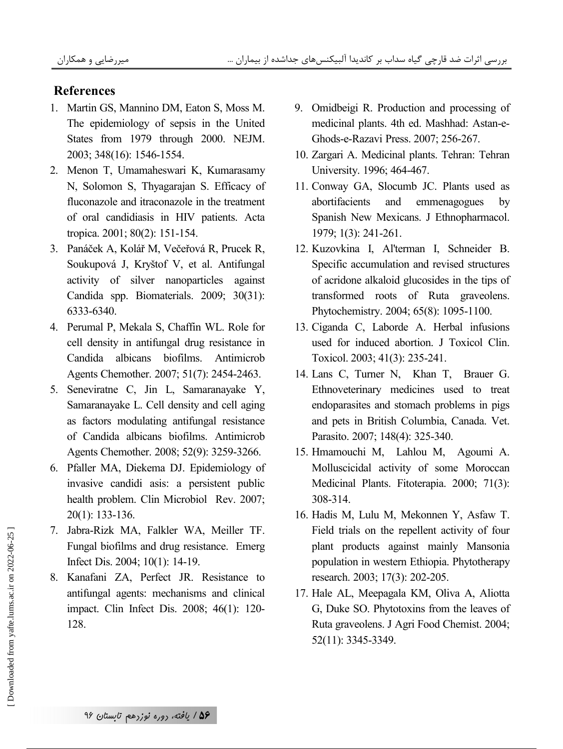### **References**

- 1. Martin GS, Mannino DM, Eaton S, Moss M. The epidemiology of sepsis in the United States from 1979 through 2000. NEJM. 2003; 348(16): 1546-1554.
- 2. Menon T, Umamaheswari K, Kumarasamy N, Solomon S, Thyagarajan S. Efficacy of fluconazole and itraconazole in the treatment of oral candidiasis in HIV patients. Acta tropica. 2001; 80(2): 151-154.
- 3. Panáček A, Kolář M, Večeřová R, Prucek R, Soukupová J, Kryštof V, et al. Antifungal activity of silver nanoparticles against Candida spp. Biomaterials. 2009; 30(31): 6333-6340.
- 4. Perumal P, Mekala S, Chaffin WL. Role for cell density in antifungal drug resistance in Candida albicans biofilms. Antimicrob Agents Chemother. 2007; 51(7): 2454-2463.
- 5. Seneviratne C, Jin L, Samaranayake Y, Samaranayake L. Cell density and cell aging as factors modulating antifungal resistance of Candida albicans biofilms. Antimicrob Agents Chemother. 2008; 52(9): 3259-3266.
- 6. Pfaller MA, Diekema DJ. Epidemiology of invasive candidi asis: a persistent public health problem. Clin Microbiol Rev. 2007;  $20(1)$ : 133-136.
- 7. Jabra-Rizk MA, Falkler WA, Meiller TF. Fungal biofilms and drug resistance. Emerg Infect Dis. 2004; 10(1): 14-19.
- 8. Kanafani ZA, Perfect JR. Resistance to antifungal agents: mechanisms and clinical impact. Clin Infect Dis. 2008; 46(1): 120-128.
- 9. Omidbeigi R. Production and processing of medicinal plants. 4th ed. Mashhad: Astan-e-Ghods-e-Razavi Press. 2007; 256-267.
- 10. Zargari A. Medicinal plants. Tehran: Tehran University. 1996; 464-467.
- 11. Conway GA, Slocumb JC. Plants used as abortifacients and emmenagogues by Spanish New Mexicans. J Ethnopharmacol. 1979; 1(3): 241-261.
- 12. Kuzovkina I, Al'terman I, Schneider B. Specific accumulation and revised structures of acridone alkaloid glucosides in the tips of transformed roots of Ruta graveolens. Phytochemistry. 2004; 65(8): 1095-1100.
- 13. Ciganda C, Laborde A. Herbal infusions used for induced abortion. J Toxicol Clin. Toxicol. 2003; 41(3): 235-241.
- 14. Lans C, Turner N, Khan T, Brauer G. Ethnoveterinary medicines used to treat endoparasites and stomach problems in pigs and pets in British Columbia, Canada. Vet. Parasito. 2007; 148(4): 325-340.
- 15. Hmamouchi M, Lahlou M, Agoumi A. Molluscicidal activity of some Moroccan Medicinal Plants. Fitoterapia. 2000; 71(3): 308-314.
- 16. Hadis M, Lulu M, Mekonnen Y, Asfaw T. Field trials on the repellent activity of four plant products against mainly Mansonia population in western Ethiopia. Phytotherapy research. 2003; 17(3): 202-205.
- 17. Hale AL, Meepagala KM, Oliva A, Aliotta G, Duke SO. Phytotoxins from the leaves of Ruta graveolens. J Agri Food Chemist. 2004; 52(11): 3345-3349.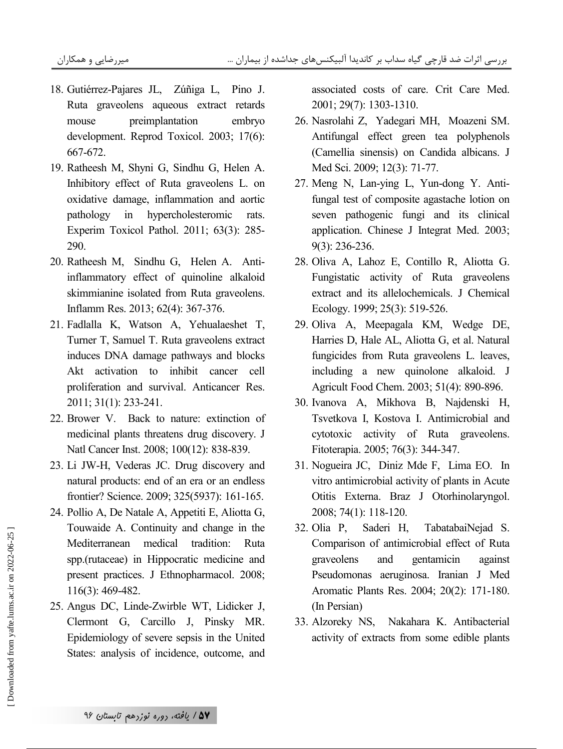- 18. Gutiérrez-Pajares JL, Zúñiga L, Pino J. Ruta graveolens aqueous extract retards preimplantation embryo mouse development. Reprod Toxicol. 2003; 17(6): 667-672.
- 19. Ratheesh M, Shyni G, Sindhu G, Helen A. Inhibitory effect of Ruta graveolens L. on oxidative damage, inflammation and aortic pathology in hypercholesteromic rats. Experim Toxicol Pathol. 2011; 63(3): 285-290.
- 20. Ratheesh M, Sindhu G, Helen A. Antiinflammatory effect of quinoline alkaloid skimmianine isolated from Ruta graveolens. Inflamm Res. 2013; 62(4): 367-376.
- 21. Fadlalla K, Watson A, Yehualaeshet T, Turner T, Samuel T. Ruta graveolens extract induces DNA damage pathways and blocks Akt activation to inhibit cancer cell proliferation and survival. Anticancer Res. 2011; 31(1): 233-241.
- 22. Brower V. Back to nature: extinction of medicinal plants threatens drug discovery. J Natl Cancer Inst. 2008; 100(12): 838-839.
- 23. Li JW-H, Vederas JC. Drug discovery and natural products: end of an era or an endless frontier? Science. 2009; 325(5937): 161-165.
- 24. Pollio A, De Natale A, Appetiti E, Aliotta G, Touwaide A. Continuity and change in the Mediterranean medical tradition: Ruta spp.(rutaceae) in Hippocratic medicine and present practices. J Ethnopharmacol. 2008;  $116(3)$ : 469-482.
- 25. Angus DC, Linde-Zwirble WT, Lidicker J, Clermont G, Carcillo J, Pinsky MR. Epidemiology of severe sepsis in the United States: analysis of incidence, outcome, and

associated costs of care. Crit Care Med. 2001; 29(7): 1303-1310.

- 26. Nasrolahi Z, Yadegari MH, Moazeni SM. Antifungal effect green tea polyphenols (Camellia sinensis) on Candida albicans. J Med Sci. 2009; 12(3): 71-77.
- 27. Meng N, Lan-ying L, Yun-dong Y. Antifungal test of composite agastache lotion on seven pathogenic fungi and its clinical application. Chinese J Integrat Med. 2003;  $9(3)$ : 236-236.
- 28. Oliva A, Lahoz E, Contillo R, Aliotta G. Fungistatic activity of Ruta graveolens extract and its allelochemicals. J Chemical Ecology. 1999; 25(3): 519-526.
- 29. Oliva A, Meepagala KM, Wedge DE, Harries D, Hale AL, Aliotta G, et al. Natural fungicides from Ruta graveolens L. leaves, including a new quinolone alkaloid. J Agricult Food Chem. 2003; 51(4): 890-896.
- 30. Ivanova A, Mikhova B, Najdenski H, Tsvetkova I, Kostova I. Antimicrobial and cytotoxic activity of Ruta graveolens. Fitoterapia. 2005; 76(3): 344-347.
- 31. Nogueira JC, Diniz Mde F, Lima EO. In vitro antimicrobial activity of plants in Acute Otitis Externa. Braz J Otorhinolaryngol. 2008; 74(1): 118-120.
- 32. Olia P. Saderi H. TabatabaiNejad S. Comparison of antimicrobial effect of Ruta graveolens and gentamicin against Pseudomonas aeruginosa. Iranian J Med Aromatic Plants Res. 2004; 20(2): 171-180. (In Persian)
- 33. Alzoreky NS, Nakahara K. Antibacterial activity of extracts from some edible plants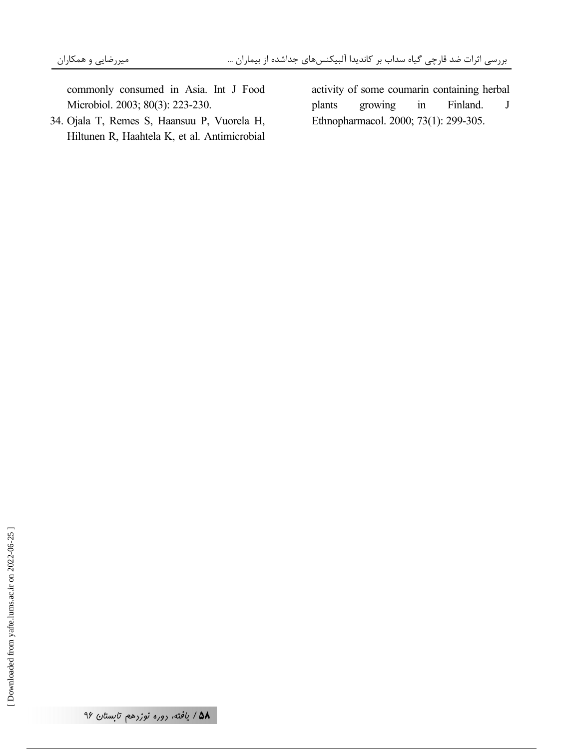commonly consumed in Asia. Int J Food Microbiol. 2003; 80(3): 223-230.

34. Ojala T, Remes S, Haansuu P, Vuorela H, Hiltunen R, Haahtela K, et al. Antimicrobial

activity of some coumarin containing herbal  $\overline{\mathbf{J}}$ growing  $in$ Finland. plants Ethnopharmacol. 2000; 73(1): 299-305.